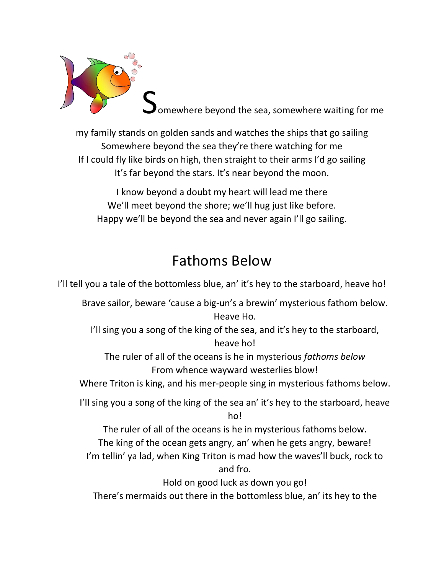

my family stands on golden sands and watches the ships that go sailing Somewhere beyond the sea they're there watching for me If I could fly like birds on high, then straight to their arms I'd go sailing It's far beyond the stars. It's near beyond the moon.

I know beyond a doubt my heart will lead me there We'll meet beyond the shore; we'll hug just like before. Happy we'll be beyond the sea and never again I'll go sailing.

# Fathoms Below

I'll tell you a tale of the bottomless blue, an' it's hey to the starboard, heave ho!

Brave sailor, beware 'cause a big-un's a brewin' mysterious fathom below. Heave Ho.

I'll sing you a song of the king of the sea, and it's hey to the starboard, heave ho!

The ruler of all of the oceans is he in mysterious *fathoms below* From whence wayward westerlies blow!

Where Triton is king, and his mer-people sing in mysterious fathoms below.

I'll sing you a song of the king of the sea an' it's hey to the starboard, heave ho!

The ruler of all of the oceans is he in mysterious fathoms below. The king of the ocean gets angry, an' when he gets angry, beware!

I'm tellin' ya lad, when King Triton is mad how the waves'll buck, rock to and fro.

Hold on good luck as down you go!

There's mermaids out there in the bottomless blue, an' its hey to the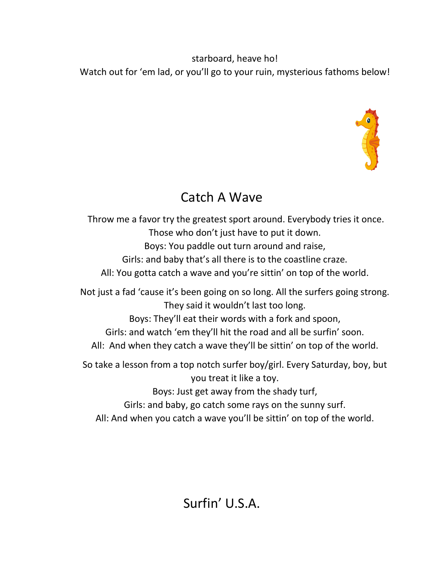#### starboard, heave ho!

Watch out for 'em lad, or you'll go to your ruin, mysterious fathoms below!



## Catch A Wave

Throw me a favor try the greatest sport around. Everybody tri[es it on](https://creativecommons.org/licenses/by-nc/3.0/)ce. Those who don't just have to put it down. Boys: You paddle out turn around and raise, Girls: and baby that's all there is to the coastline craze. All: You gotta catch a wave and you're sittin' on top of the world. Not just a fad 'cause it's been going on so long. All the surfers going strong. They said it wouldn't last too long. Boys: They'll eat their words with a fork and spoon, Girls: and watch 'em they'll hit the road and all be surfin' soon. All: And when they catch a wave they'll be sittin' on top of the world. So take a lesson from a top notch surfer boy/girl. Every Saturday, boy, but you treat it like a toy. Boys: Just get away from the shady turf, Girls: and baby, go catch some rays on the sunny surf. All: And when you catch a wave you'll be sittin' on top of the world.

Surfin' U.S.A.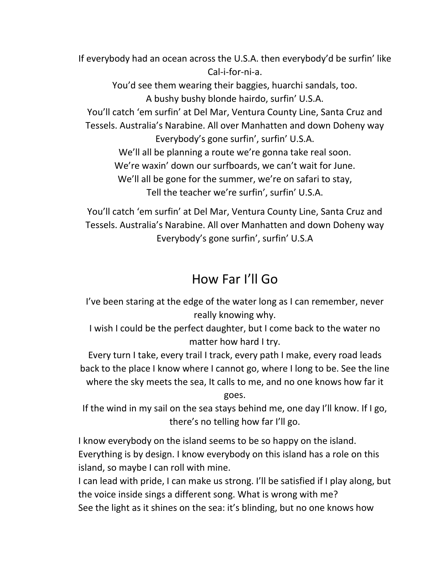If everybody had an ocean across the U.S.A. then everybody'd be surfin' like Cal-i-for-ni-a.

You'd see them wearing their baggies, huarchi sandals, too. A bushy bushy blonde hairdo, surfin' U.S.A. You'll catch 'em surfin' at Del Mar, Ventura County Line, Santa Cruz and Tessels. Australia's Narabine. All over Manhatten and down Doheny way Everybody's gone surfin', surfin' U.S.A. We'll all be planning a route we're gonna take real soon. We're waxin' down our surfboards, we can't wait for June. We'll all be gone for the summer, we're on safari to stay, Tell the teacher we're surfin', surfin' U.S.A.

You'll catch 'em surfin' at Del Mar, Ventura County Line, Santa Cruz and Tessels. Australia's Narabine. All over Manhatten and down Doheny way Everybody's gone surfin', surfin' U.S.A

## How Far I'll Go

I've been staring at the edge of the water long as I can remember, never really knowing why.

I wish I could be the perfect daughter, but I come back to the water no matter how hard I try.

Every turn I take, every trail I track, every path I make, every road leads back to the place I know where I cannot go, where I long to be. See the line where the sky meets the sea, It calls to me, and no one knows how far it

goes.

If the wind in my sail on the sea stays behind me, one day I'll know. If I go, there's no telling how far I'll go.

I know everybody on the island seems to be so happy on the island. Everything is by design. I know everybody on this island has a role on this island, so maybe I can roll with mine.

I can lead with pride, I can make us strong. I'll be satisfied if I play along, but the voice inside sings a different song. What is wrong with me? See the light as it shines on the sea: it's blinding, but no one knows how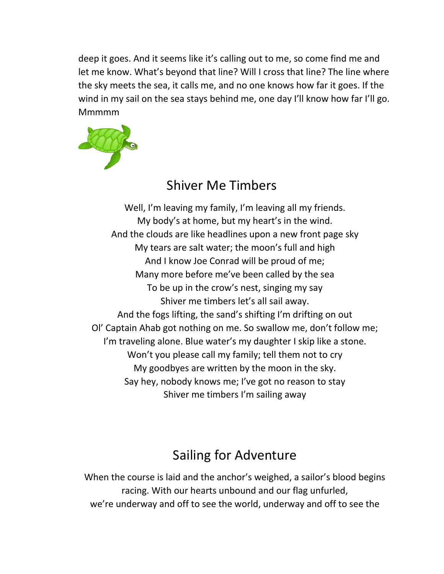deep it goes. And it seems like it's calling out to me, so come find me and let me know. What's beyond that line? Will I cross that line? The line where the sky meets the sea, it calls me, and no one knows how far it goes. If the wind in my sail on the sea stays behind me, one day I'll know how far I'll go. Mmmmm



### Shiver Me Timbers

Well, I'm leaving my family, I'm leaving all my friends. My body's at home, but my heart's in the wind. And the clouds are like headlines upon a new front page sky My tears are salt water; the moon's full and high And I know Joe Conrad will be proud of me; Many more before me've been called by the sea To be up in the crow's nest, singing my say Shiver me timbers let's all sail away. And the fogs lifting, the sand's shifting I'm drifting on out Ol' Captain Ahab got nothing on me. So swallow me, don't follow me; I'm traveling alone. Blue water's my daughter I skip like a stone. Won't you please call my family; tell them not to cry My goodbyes are written by the moon in the sky. Say hey, nobody knows me; I've got no reason to stay Shiver me timbers I'm sailing away

## Sailing for Adventure

When the course is laid and the anchor's weighed, a sailor's blood begins racing. With our hearts unbound and our flag unfurled, we're underway and off to see the world, underway and off to see the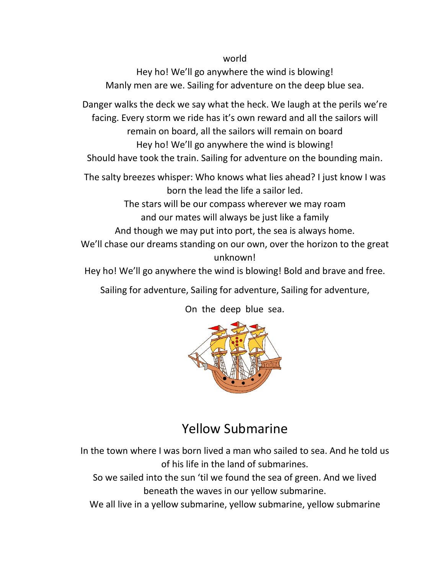#### world

Hey ho! We'll go anywhere the wind is blowing! Manly men are we. Sailing for adventure on the deep blue sea.

Danger walks the deck we say what the heck. We laugh at the perils we're facing. Every storm we ride has it's own reward and all the sailors will remain on board, all the sailors will remain on board Hey ho! We'll go anywhere the wind is blowing! Should have took the train. Sailing for adventure on the bounding main.

The salty breezes whisper: Who knows what lies ahead? I just know I was born the lead the life a sailor led.

> The stars will be our compass wherever we may roam and our mates will always be just like a family

And though we may put into port, the sea is always home.

We'll chase our dreams standing on our own, over the horizon to the great unknown!

Hey ho! We'll go anywhere the wind is blowing! Bold and brave and free.

Sailing for adventure, Sailing for adventure, Sailing for adventure,





## Yellow Submarine

In the town where I was born lived a man who sailed to sea. And he told us of his life in the land of submarines.

So we sailed into the sun 'til we found the sea of green. And we lived beneath the waves in our yellow submarine.

We all live in a yellow submarine, yellow submarine, yellow submarine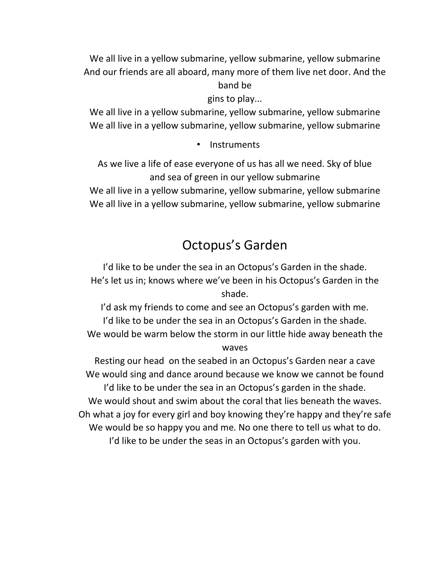We all live in a yellow submarine, yellow submarine, yellow submarine And our friends are all aboard, many more of them live net door. And the band be

#### gins to play...

We all live in a yellow submarine, yellow submarine, yellow submarine We all live in a yellow submarine, yellow submarine, yellow submarine

#### • Instruments

As we live a life of ease everyone of us has all we need. Sky of blue and sea of green in our yellow submarine

We all live in a yellow submarine, yellow submarine, yellow submarine We all live in a yellow submarine, yellow submarine, yellow submarine

### Octopus's Garden

I'd like to be under the sea in an Octopus's Garden in the shade. He's let us in; knows where we've been in his Octopus's Garden in the shade.

I'd ask my friends to come and see an Octopus's garden with me. I'd like to be under the sea in an Octopus's Garden in the shade. We would be warm below the storm in our little hide away beneath the waves

Resting our head on the seabed in an Octopus's Garden near a cave We would sing and dance around because we know we cannot be found I'd like to be under the sea in an Octopus's garden in the shade. We would shout and swim about the coral that lies beneath the waves. Oh what a joy for every girl and boy knowing they're happy and they're safe We would be so happy you and me. No one there to tell us what to do. I'd like to be under the seas in an Octopus's garden with you.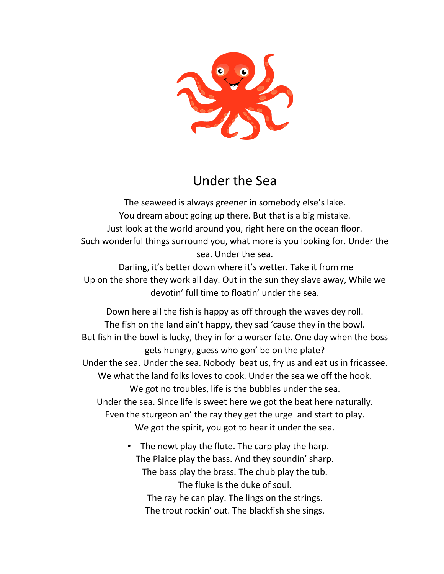

### Under the Sea

The seaweed is always greener in somebody else's lake. You dream about going up there. But that is a big mistake. Just look at the world around you, right here on the ocean floor. Such wonderful things surround you, what more is you looking for. Under the sea. Under the sea.

Darling, it's better down where it's wetter. Take it from me Up on the shore they work all day. Out in the sun they slave away, While we devotin' full time to floatin' under the sea.

Down here all the fish is happy as off through the waves dey roll. The fish on the land ain't happy, they sad 'cause they in the bowl. But fish in the bowl is lucky, they in for a worser fate. One day when the boss gets hungry, guess who gon' be on the plate? Under the sea. Under the sea. Nobody beat us, fry us and eat us in fricassee. We what the land folks loves to cook. Under the sea we off the hook. We got no troubles, life is the bubbles under the sea. Under the sea. Since life is sweet here we got the beat here naturally. Even the sturgeon an' the ray they get the urge and start to play. We got the spirit, you got to hear it under the sea.

> • The newt play the flute. The carp play the harp. The Plaice play the bass. And they soundin' sharp. The bass play the brass. The chub play the tub. The fluke is the duke of soul. The ray he can play. The lings on the strings. The trout rockin' out. The blackfish she sings.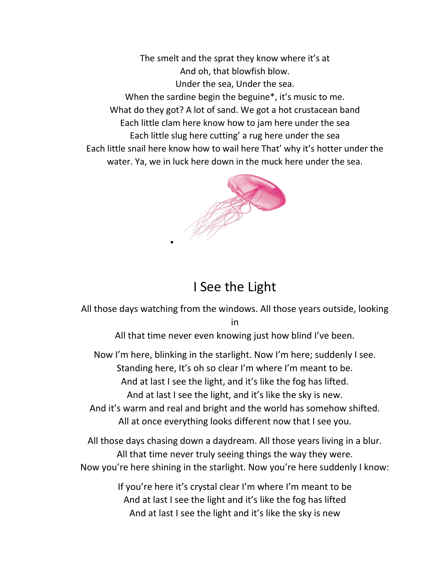The smelt and the sprat they know where it's at And oh, that blowfish blow. Under the sea, Under the sea. When the sardine begin the beguine\*, it's music to me. What do they got? A lot of sand. We got a hot crustacean band Each little clam here know how to jam here under the sea Each little slug here cutting' a rug here under the sea Each little snail here know how to wail here That' why it's hotter under the water. Ya, we in luck here down in the muck here under the sea.



## I See the Light

All those days watching from the windows. All those years outside, looking in

All that time never even knowing just how blind I've been.

Now I'm here, blinking in the starlight. Now I'm here; suddenly I see. Standing here, It's oh so clear I'm where I'm meant to be. And at last I see the light, and it's like the fog has lifted. And at last I see the light, and it's like the sky is new.

And it's warm and real and bright and the world has somehow shifted. All at once everything looks different now that I see you.

All those days chasing down a daydream. All those years living in a blur. All that time never truly seeing things the way they were. Now you're here shining in the starlight. Now you're here suddenly I know:

> If you're here it's crystal clear I'm where I'm meant to be And at last I see the light and it's like the fog has lifted And at last I see the light and it's like the sky is new